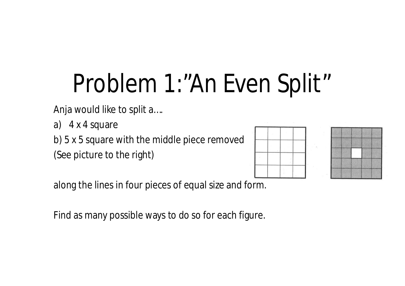# Problem 1:"An Even Split"

Anja would like to split a….

a) 4 x 4 square

b) 5 x 5 square with the middle piece removed (See picture to the right)



along the lines in four pieces of equal size and form.

Find as many possible ways to do so for each figure.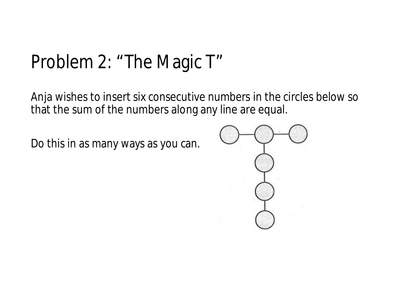#### Problem 2: "The Magic T"

Anja wishes to insert six consecutive numbers in the circles below so that the sum of the numbers along any line are equal.

Do this in as many ways as you can.

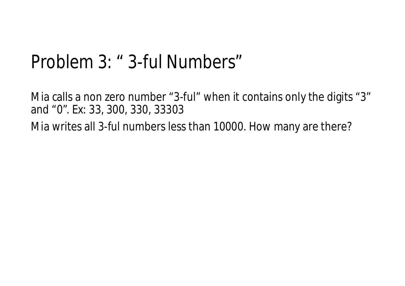#### Problem 3: " 3-ful Numbers"

Mia calls a non zero number "3-ful" when it contains only the digits "3" and "0". Ex: 33, 300, 330, 33303

Mia writes all 3-ful numbers less than 10000. How many are there?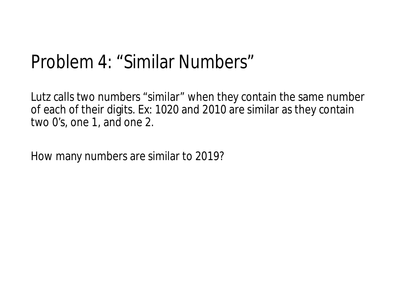#### Problem 4: "Similar Numbers"

Lutz calls two numbers "similar" when they contain the same number of each of their digits. Ex: 1020 and 2010 are similar as they contain two 0's, one 1, and one 2.

How many numbers are similar to 2019?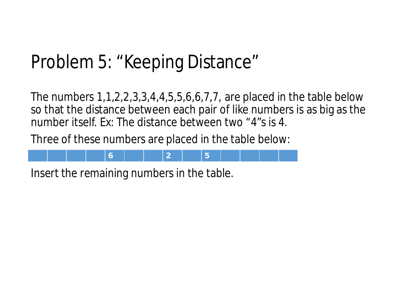### Problem 5: "Keeping Distance"

The numbers 1,1,2,2,3,3,4,4,5,5,6,6,7,7, are placed in the table below so that the distance between each pair of like numbers is as big as the number itself. Ex: The distance between two "4"s is 4.

Three of these numbers are placed in the table below:



Insert the remaining numbers in the table.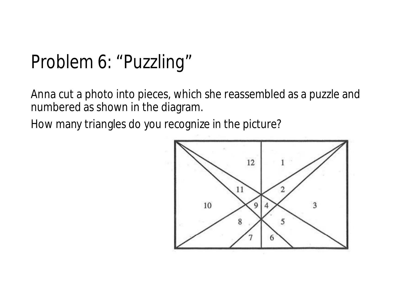#### Problem 6: "Puzzling"

Anna cut a photo into pieces, which she reassembled as a puzzle and numbered as shown in the diagram.

How many triangles do you recognize in the picture?

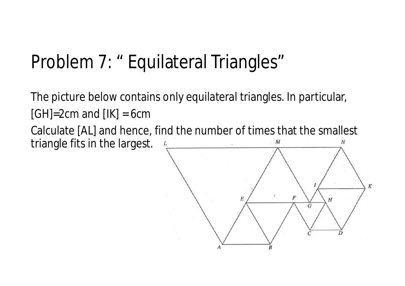#### Problem 7: " Equilateral Triangles"

The picture below contains only equilateral triangles. In particular,  $[GH]=2cm$  and  $[IK]=6cm$ Calculate [AL] and hence, find the number of times that the smallest

triangle fits in the largest.

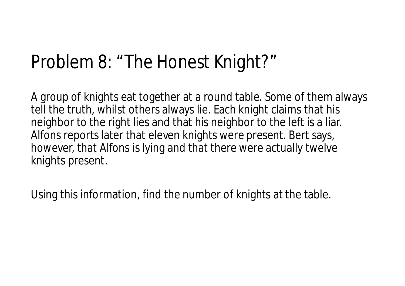#### Problem 8: "The Honest Knight?"

A group of knights eat together at a round table. Some of them always tell the truth, whilst others always lie. Each knight claims that his neighbor to the right lies and that his neighbor to the left is a liar. Alfons reports later that eleven knights were present. Bert says, however, that Alfons is lying and that there were actually twelve knights present.

Using this information, find the number of knights at the table.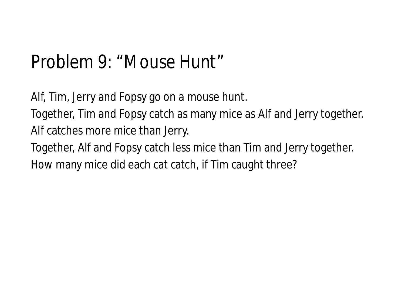#### Problem 9: "Mouse Hunt"

Alf, Tim, Jerry and Fopsy go on a mouse hunt.

Together, Tim and Fopsy catch as many mice as Alf and Jerry together. Alf catches more mice than Jerry.

Together, Alf and Fopsy catch less mice than Tim and Jerry together.

How many mice did each cat catch, if Tim caught three?